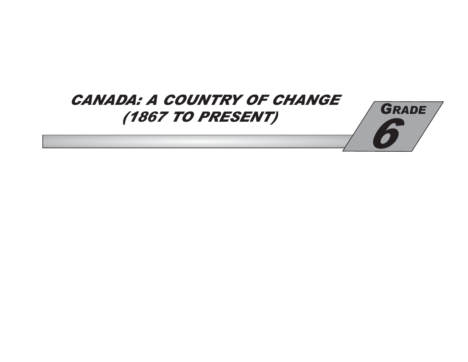# **CANADA: A COUNTRY OF CHANGE** (1867 TO PRESENT)

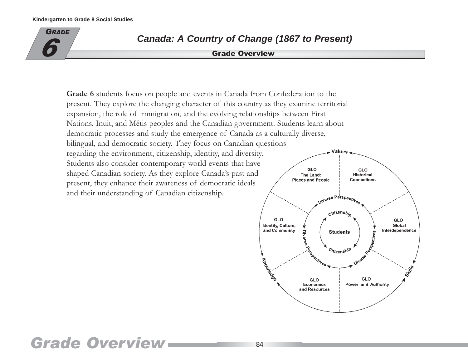

## **Canada: A Country of Change (1867 to Present)**

ade Overview

Grade 6 students focus on people and events in Canada from Confederation to the present. They explore the changing character of this country as they examine territorial expansion, the role of immigration, and the evolving relationships between First Nations, Inuit, and Métis peoples and the Canadian government. Students learn about democratic processes and study the emergence of Canada as a culturally diverse, bilingual, and democratic society. They focus on Canadian questions regarding the environment, citizenship, identity, and diversity. Students also consider contemporary world events that have GLO shaped Canadian society. As they explore Canada's past and The Land: **Places and People** present, they enhance their awareness of democratic ideals and their understanding of Canadian citizenship.



# **Grade Overview**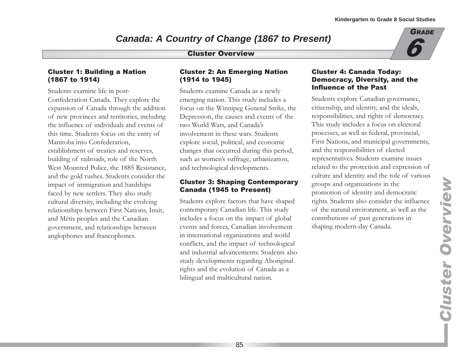## **Canada: A Country of Change (1867 to Present)**

#### **Cluster Overview**

#### **Cluster 1: Building a Nation** (1867 to 1914)

Students examine life in post-Confederation Canada. They explore the expansion of Canada through the addition of new provinces and territories, including the influence of individuals and events of this time. Students focus on the entry of Manitoba into Confederation, establishment of treaties and reserves. building of railroads, role of the North West Mounted Police, the 1885 Resistance, and the gold rushes. Students consider the impact of immigration and hardships faced by new settlers. They also study cultural diversity, including the evolving relationships between First Nations, Inuit, and Métis peoples and the Canadian government, and relationships between anglophones and francophones.

#### **Cluster 2: An Emerging Nation** (1914 to 1945)

Students examine Canada as a newly emerging nation. This study includes a focus on the Winnipeg General Strike, the Depression, the causes and events of the two World Wars, and Canada's involvement in these wars. Students explore social, political, and economic changes that occurred during this period, such as women's suffrage, urbanization, and technological developments.

#### **Cluster 3: Shaping Contemporary Canada (1945 to Present)**

Students explore factors that have shaped contemporary Canadian life. This study includes a focus on the impact of global events and forces, Canadian involvement in international organizations and world conflicts, and the impact of technological and industrial advancements. Students also study developments regarding Aboriginal rights and the evolution of Canada as a bilingual and multicultural nation.

#### **Cluster 4: Canada Today: Democracy, Diversity, and the Influence of the Past**

Students explore Canadian governance, citizenship, and identity, and the ideals, responsibilities, and rights of democracy. This study includes a focus on electoral processes, as well as federal, provincial, First Nations, and municipal governments, and the responsibilities of elected representatives. Students examine issues related to the protection and expression of culture and identity and the role of various groups and organizations in the promotion of identity and democratic rights. Students also consider the influence of the natural environment, as well as the contributions of past generations in shaping modern-day Canada.

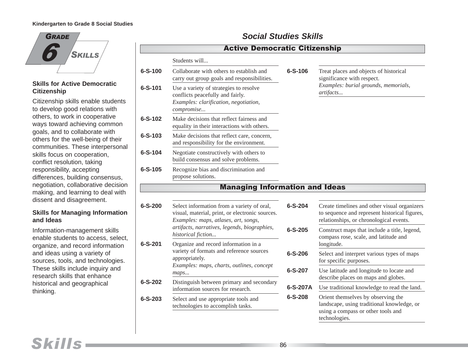

#### **Skills for Active Democratic Citizenship**

Citizenship skills enable students to develop good relations with others, to work in cooperative ways toward achieving common goals, and to collaborate with others for the well-being of their communities. These interpersonal skills focus on cooperation, conflict resolution, taking responsibility, accepting differences, building consensus, negotiation, collaborative decision making, and learning to deal with dissent and disagreement.

#### **Skills for Managing Information and Ideas**

Information-management skills enable students to access, select, organize, and record information and ideas using a variety of sources, tools, and technologies. These skills include inquiry and research skills that enhance historical and geographical thinking.

### **Social Studies Skills**

|               | <b>Active Democratic Citizenship</b>                                                                                                  |               |                                                                                                                                          |
|---------------|---------------------------------------------------------------------------------------------------------------------------------------|---------------|------------------------------------------------------------------------------------------------------------------------------------------|
|               | Students will                                                                                                                         |               |                                                                                                                                          |
| $6 - S - 100$ | Collaborate with others to establish and<br>carry out group goals and responsibilities.                                               | $6 - S - 106$ | Treat places and objects of historical<br>significance with respect.                                                                     |
| $6 - S - 101$ | Use a variety of strategies to resolve<br>conflicts peacefully and fairly.<br>Examples: clarification, negotiation,<br>compromise     |               | Examples: burial grounds, memorials,<br>artifacts                                                                                        |
| $6 - S - 102$ | Make decisions that reflect fairness and<br>equality in their interactions with others.                                               |               |                                                                                                                                          |
| $6 - S - 103$ | Make decisions that reflect care, concern,<br>and responsibility for the environment.                                                 |               |                                                                                                                                          |
| 6-S-104       | Negotiate constructively with others to<br>build consensus and solve problems.                                                        |               |                                                                                                                                          |
| $6 - S - 105$ | Recognize bias and discrimination and<br>propose solutions.                                                                           |               |                                                                                                                                          |
|               | <b>Managing Information and Ideas</b>                                                                                                 |               |                                                                                                                                          |
| $6 - S - 200$ | Select information from a variety of oral,<br>visual, material, print, or electronic sources.<br>Examples: maps, atlases, art, songs, | $6 - S - 204$ | Create timelines and other visual organizers<br>to sequence and represent historical figures,<br>relationships, or chronological events. |
|               | artifacts, narratives, legends, biographies,<br>historical fiction                                                                    | $6 - S - 205$ | Construct maps that include a title, legend,<br>compass rose, scale, and latitude and                                                    |
| $6 - S - 201$ | Organize and record information in a<br>variety of formats and reference sources<br>appropriately.                                    | $6 - S - 206$ | longitude.<br>Select and interpret various types of maps<br>for specific purposes.                                                       |
|               | Examples: maps, charts, outlines, concept<br>maps                                                                                     | 6-S-207       | Use latitude and longitude to locate and<br>describe places on maps and globes.                                                          |
| $6 - S - 202$ | Distinguish between primary and secondary<br>information sources for research.                                                        | 6-S-207A      | Use traditional knowledge to read the land.                                                                                              |
| $6 - S - 203$ | Select and use appropriate tools and<br>technologies to accomplish tasks.                                                             | $6 - S - 208$ | Orient themselves by observing the<br>landscape, using traditional knowledge, or<br>using a compass or other tools and<br>technologies.  |

## Skills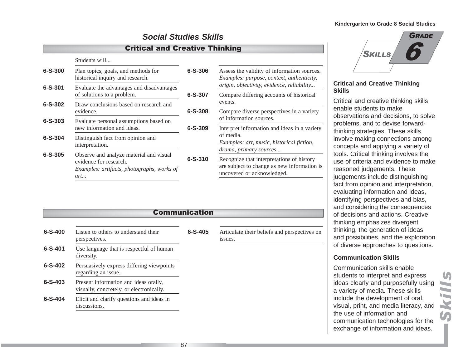**SKILLS** 

6

GRADE

### **Social Studies Skills**

#### **Critical and Creative Thinking**

#### Students will...

| 6-S-300       | Plan topics, goals, and methods for<br>historical inquiry and research.                                                | $6 - S - 306$ |
|---------------|------------------------------------------------------------------------------------------------------------------------|---------------|
| $6 - S - 301$ | Evaluate the advantages and disadvantages<br>of solutions to a problem.                                                | $6 - S - 307$ |
| $6 - S - 302$ | Draw conclusions based on research and<br>evidence.                                                                    | $6 - S - 308$ |
| $6 - S - 303$ | Evaluate personal assumptions based on<br>new information and ideas.                                                   | $6 - S - 309$ |
| $6 - S - 304$ | Distinguish fact from opinion and<br>interpretation.                                                                   |               |
| $6 - S - 305$ | Observe and analyze material and visual<br>evidence for research.<br>Examples: artifacts, photographs, works of<br>art | $6 - S - 310$ |

| 6-S-306 | Assess the validity of information sources.<br><i>Examples: purpose, context, authenticity,</i><br>origin, objectivity, evidence, reliability |
|---------|-----------------------------------------------------------------------------------------------------------------------------------------------|
| 6-S-307 | Compare differing accounts of historical<br>events.                                                                                           |
| 6-S-308 | Compare diverse perspectives in a variety<br>of information sources.                                                                          |
| 6-S-309 | Interpret information and ideas in a variety<br>of media.<br>Examples: art, music, historical fiction,<br>drama, primary sources              |
| 6-S-310 | Recognize that interpretations of history<br>are subject to change as new information is<br>uncovered or acknowledged.                        |

## **Critical and Creative Thinking Skills**

Critical and creative thinking skills enable students to make observations and decisions, to solve problems, and to devise forwardthinking strategies. These skills involve making connections among concepts and applying a variety of tools. Critical thinking involves the use of criteria and evidence to make reasoned judgements. These judgements include distinguishing fact from opinion and interpretation, evaluating information and ideas, identifying perspectives and bias, and considering the consequences of decisions and actions. Creative thinking emphasizes divergent thinking, the generation of ideas and possibilities, and the exploration of diverse approaches to questions.

#### **Communication Skills**

Communication skills enable students to interpret and express ideas clearly and purposefully using a variety of media. These skills include the development of oral, visual, print, and media literacy, and the use of information and communication technologies for the exchange of information and ideas.

|               |                                                                                   | <b>Communication</b> |                                                         |
|---------------|-----------------------------------------------------------------------------------|----------------------|---------------------------------------------------------|
| $6 - S - 400$ | Listen to others to understand their<br>perspectives.                             | $6 - S - 405$        | Articulate their beliefs and perspectives on<br>issues. |
| $6 - S - 401$ | Use language that is respectful of human<br>diversity.                            |                      |                                                         |
| $6 - S - 402$ | Persuasively express differing viewpoints<br>regarding an issue.                  |                      |                                                         |
| $6 - S - 403$ | Present information and ideas orally,<br>visually, concretely, or electronically. |                      |                                                         |
| $6 - S - 404$ | Elicit and clarify questions and ideas in<br>discussions.                         |                      |                                                         |

87

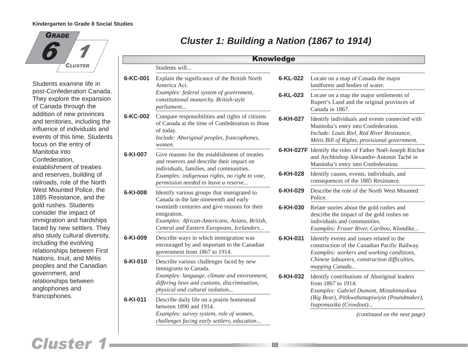

Students examine life in post-Confederation Canada. They explore the expansion of Canada through the addition of new provinces and territories, including the influence of individuals and events of this time. Students focus on the entry of Manitoba into Confederation, establishment of treaties and reserves, building of railroads, role of the North West Mounted Police, the 1885 Resistance, and the gold rushes. Students consider the impact of immigration and hardships faced by new settlers. They also study cultural diversity, including the evolving relationships between First Nations, Inuit, and Métis peoples and the Canadian government, and relationships between anglophones and francophones.

## **Cluster 1: Building a Nation (1867 to 1914)**

|                                                                                                                                                                                                                                                                  |                                                                                                                                                                                                                                  | <b>Knowledge</b>                                                                                                                                                   |                                                                                                                                                                                       |
|------------------------------------------------------------------------------------------------------------------------------------------------------------------------------------------------------------------------------------------------------------------|----------------------------------------------------------------------------------------------------------------------------------------------------------------------------------------------------------------------------------|--------------------------------------------------------------------------------------------------------------------------------------------------------------------|---------------------------------------------------------------------------------------------------------------------------------------------------------------------------------------|
|                                                                                                                                                                                                                                                                  | Students will                                                                                                                                                                                                                    |                                                                                                                                                                    |                                                                                                                                                                                       |
| 6-KC-001                                                                                                                                                                                                                                                         | Explain the significance of the British North<br>America Act.                                                                                                                                                                    | 6-KL-022                                                                                                                                                           | Locate on a map of Canada the major<br>landforms and bodies of water.                                                                                                                 |
|                                                                                                                                                                                                                                                                  | Examples: federal system of government,<br>constitutional monarchy, British-style<br>parliament                                                                                                                                  | 6-KL-023                                                                                                                                                           | Locate on a map the major settlements of<br>Rupert's Land and the original provinces of<br>Canada in 1867.                                                                            |
| 6-KC-002                                                                                                                                                                                                                                                         | Compare responsibilities and rights of citizens<br>of Canada at the time of Confederation to those<br>of today.<br>Include: Aboriginal peoples, francophones,<br>women.                                                          | 6-KH-027                                                                                                                                                           | Identify individuals and events connected with<br>Manitoba's entry into Confederation.<br>Include: Louis Riel, Red River Resistance,<br>Métis Bill of Rights, provisional government. |
| 6-KI-007                                                                                                                                                                                                                                                         | Give reasons for the establishment of treaties<br>and reserves and describe their impact on<br>individuals, families, and communities.<br>Examples: indigenous rights, no right to vote,<br>permission needed to leave a reserve |                                                                                                                                                                    | <b>6-KH-027F</b> Identify the roles of Father Noël-Joseph Ritchot<br>and Archbishop Alexandre-Antonin Taché in<br>Manitoba's entry into Confederation.                                |
|                                                                                                                                                                                                                                                                  |                                                                                                                                                                                                                                  | 6-KH-028                                                                                                                                                           | Identify causes, events, individuals, and<br>consequences of the 1885 Resistance.                                                                                                     |
| 6-KI-008<br>Identify various groups that immigrated to<br>Canada in the late nineteenth and early<br>twentieth centuries and give reasons for their<br>emigration.<br>Examples: African-Americans, Asians, British,<br>Central and Eastern Europeans, Icelanders |                                                                                                                                                                                                                                  | 6-KH-029                                                                                                                                                           | Describe the role of the North West Mounted<br>Police.                                                                                                                                |
|                                                                                                                                                                                                                                                                  | 6-KH-030                                                                                                                                                                                                                         | Relate stories about the gold rushes and<br>describe the impact of the gold rushes on<br>individuals and communities.<br>Examples: Fraser River, Cariboo, Klondike |                                                                                                                                                                                       |
| 6-KI-009                                                                                                                                                                                                                                                         | Describe ways in which immigration was<br>encouraged by and important to the Canadian<br>government from 1867 to 1914.                                                                                                           | 6-KH-031                                                                                                                                                           | Identify events and issues related to the<br>construction of the Canadian Pacific Railway.<br>Examples: workers and working conditions,                                               |
| 6-KI-010                                                                                                                                                                                                                                                         | Describe various challenges faced by new<br>immigrants to Canada.                                                                                                                                                                |                                                                                                                                                                    | Chinese labourers, construction difficulties,<br>mapping Canada                                                                                                                       |
|                                                                                                                                                                                                                                                                  | Examples: language, climate and environment,<br>differing laws and customs, discrimination,<br>physical and cultural isolation                                                                                                   | 6-KH-032                                                                                                                                                           | Identify contributions of Aboriginal leaders<br>from 1867 to 1914.<br>Examples: Gabriel Dumont, Mistahimaskwa                                                                         |
| 6-KI-011                                                                                                                                                                                                                                                         | Describe daily life on a prairie homestead<br>between 1890 and 1914.                                                                                                                                                             |                                                                                                                                                                    | (Big Bear), Pitikwahanapiwiyin (Poundmaker),<br>Isapomuxika (Crowfoot)                                                                                                                |
|                                                                                                                                                                                                                                                                  | Examples: survey system, role of women,<br>challenges facing early settlers, education                                                                                                                                           |                                                                                                                                                                    | (continued on the next page)                                                                                                                                                          |

## **Cluster 1**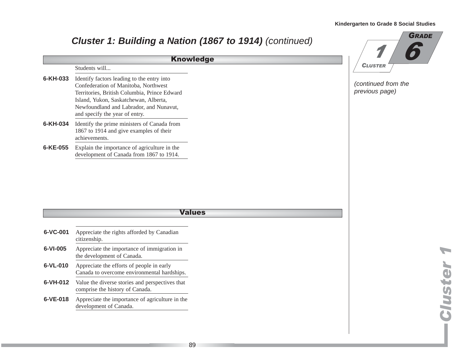#### **6-KH-033** Identify factors leading to the entry into Confederation of Manitoba, Northwest Territories, British Columbia, Prince Edward Island, Yukon, Saskatchewan, Alberta, Newfoundland and Labrador, and Nunavut, and specify the year of entry. **6-KH-034** Identify the prime ministers of Canada from 1867 to 1914 and give examples of their achievements. **6-KE-055** Explain the importance of agriculture in the development of Canada from 1867 to 1914. **Cluster 1: Building a Nation (1867 to 1914)** (continued) Students will... Knowledge (continued from the previous page) 6 GRADE  $\boldsymbol{\mathcal{I}}$ **CLUSTER**

#### **Values**

| 6-VC-001 | Appreciate the rights afforded by Canadian<br>citizenship.                               |
|----------|------------------------------------------------------------------------------------------|
| 6-VI-005 | Appreciate the importance of immigration in<br>the development of Canada.                |
| 6-VL-010 | Appreciate the efforts of people in early<br>Canada to overcome environmental hardships. |
| 6-VH-012 | Value the diverse stories and perspectives that<br>comprise the history of Canada.       |
| 6-VE-018 | Appreciate the importance of agriculture in the<br>development of Canada.                |
|          |                                                                                          |

**Cluster 1** luster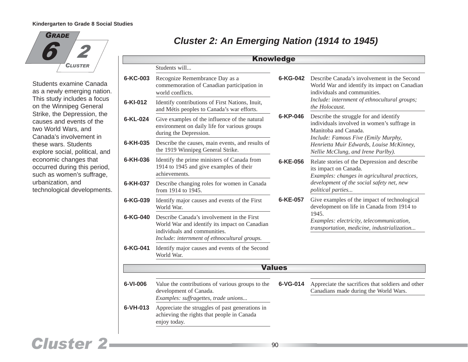

Students examine Canada as a newly emerging nation. This study includes a focus on the Winnipeg General Strike, the Depression, the causes and events of the two World Wars, and Canada's involvement in these wars. Students explore social, political, and economic changes that occurred during this period, such as women's suffrage, urbanization, and technological developments.

| <b>Knowledge</b> |                                                                                                                                                                             |                                                                                                                         |                                                                                                                                                                              |  |
|------------------|-----------------------------------------------------------------------------------------------------------------------------------------------------------------------------|-------------------------------------------------------------------------------------------------------------------------|------------------------------------------------------------------------------------------------------------------------------------------------------------------------------|--|
|                  | Students will                                                                                                                                                               |                                                                                                                         |                                                                                                                                                                              |  |
| 6-KC-003         | Recognize Remembrance Day as a<br>commemoration of Canadian participation in<br>world conflicts.                                                                            | $6-KG-042$                                                                                                              | Describe Canada's involvement in the Second<br>World War and identify its impact on Canadian<br>individuals and communities.<br>Include: internment of ethnocultural groups; |  |
| 6-KI-012         | Identify contributions of First Nations, Inuit,<br>and Métis peoples to Canada's war efforts.                                                                               |                                                                                                                         | the Holocaust.                                                                                                                                                               |  |
| 6-KL-024         | Give examples of the influence of the natural<br>environment on daily life for various groups<br>during the Depression.                                                     | $6 - KP - 046$<br>Describe the struggle for and identify<br>Manitoba and Canada.<br>Include: Famous Five (Emily Murphy, | individuals involved in women's suffrage in                                                                                                                                  |  |
| 6-KH-035         | Describe the causes, main events, and results of<br>the 1919 Winnipeg General Strike.                                                                                       |                                                                                                                         | Henrietta Muir Edwards, Louise McKinney,<br>Nellie McClung, and Irene Parlby).                                                                                               |  |
| 6-KH-036         | Identify the prime ministers of Canada from<br>1914 to 1945 and give examples of their<br>achievements.                                                                     | 6-KE-056                                                                                                                | Relate stories of the Depression and describe<br>its impact on Canada.<br>Examples: changes in agricultural practices,                                                       |  |
| 6-KH-037         | Describe changing roles for women in Canada<br>from 1914 to 1945.                                                                                                           |                                                                                                                         | development of the social safety net, new<br>political parties                                                                                                               |  |
| 6-KG-039         | Identify major causes and events of the First<br>World War.                                                                                                                 | 6-KE-057                                                                                                                | Give examples of the impact of technological<br>development on life in Canada from 1914 to                                                                                   |  |
| 6-KG-040         | Describe Canada's involvement in the First<br>World War and identify its impact on Canadian<br>individuals and communities.<br>Include: internment of ethnocultural groups. |                                                                                                                         | 1945.<br>Examples: electricity, telecommunication,<br>transportation, medicine, industrialization                                                                            |  |
| 6-KG-041         | Identify major causes and events of the Second<br>World War.                                                                                                                |                                                                                                                         |                                                                                                                                                                              |  |
|                  |                                                                                                                                                                             | <b>Values</b>                                                                                                           |                                                                                                                                                                              |  |
| 6-VI-006         | Value the contributions of various groups to the<br>development of Canada.<br>Examples: suffragettes, trade unions                                                          | 6-VG-014                                                                                                                | Appreciate the sacrifices that soldiers and other<br>Canadians made during the World Wars.                                                                                   |  |
| 6-VH-013         | Appreciate the struggles of past generations in<br>achieving the rights that people in Canada<br>enjoy today.                                                               |                                                                                                                         |                                                                                                                                                                              |  |

### **Cluster 2: An Emerging Nation (1914 to 1945)**

# **Cluster 2-**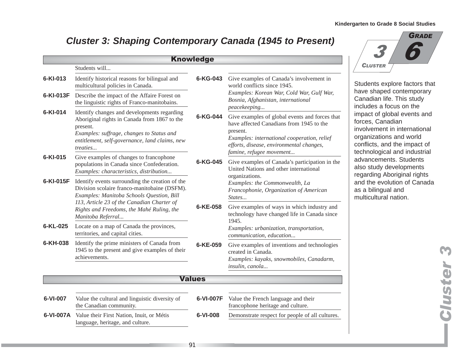**Kindergarten to Grade 8 Social Studies**

 $\boldsymbol{\beta}$ 

## **Cluster 3: Shaping Contemporary Canada (1945 to Present)**

|           |                                                                                                                                                                                                                                         | <b>Knowledge</b> |                                                                                                                                                                                                                               |
|-----------|-----------------------------------------------------------------------------------------------------------------------------------------------------------------------------------------------------------------------------------------|------------------|-------------------------------------------------------------------------------------------------------------------------------------------------------------------------------------------------------------------------------|
|           | Students will                                                                                                                                                                                                                           |                  |                                                                                                                                                                                                                               |
| 6-KI-013  | Identify historical reasons for bilingual and<br>multicultural policies in Canada.                                                                                                                                                      | 6-KG-043         | Give examples of Canada's involvement in<br>world conflicts since 1945.                                                                                                                                                       |
| 6-KI-013F | Describe the impact of the Affaire Forest on<br>the linguistic rights of Franco-manitobains.                                                                                                                                            |                  | Examples: Korean War, Cold War, Gulf War,<br>Bosnia, Afghanistan, international<br>peacekeeping                                                                                                                               |
| 6-KI-014  | Identify changes and developments regarding<br>Aboriginal rights in Canada from 1867 to the<br>present.<br>Examples: suffrage, changes to Status and<br>entitlement, self-governance, land claims, new<br><i>treaties</i>               | 6-KG-044         | Give examples of global events and forces that<br>have affected Canadians from 1945 to the<br>present.<br>Examples: international cooperation, relief<br>efforts, disease, environmental changes,<br>famine, refugee movement |
| 6-KI-015  | Give examples of changes to francophone<br>populations in Canada since Confederation.<br>Examples: characteristics, distribution                                                                                                        | 6-KG-045         | Give examples of Canada's participation in the<br>United Nations and other international<br>organizations.                                                                                                                    |
| 6-KI-015F | Identify events surrounding the creation of the<br>Division scolaire franco-manitobaine (DSFM).<br>Examples: Manitoba Schools Question, Bill<br>113, Article 23 of the Canadian Charter of<br>Rights and Freedoms, the Mahé Ruling, the | 6-KE-058         | Examples: the Commonwealth, La<br>Francophonie, Organization of American<br>States<br>Give examples of ways in which industry and<br>technology have changed life in Canada since                                             |
| 6-KL-025  | Manitoba Referral<br>Locate on a map of Canada the provinces,<br>territories, and capital cities.                                                                                                                                       |                  | 1945.<br>Examples: urbanization, transportation,<br>communication, education                                                                                                                                                  |
| 6-KH-038  | Identify the prime ministers of Canada from<br>1945 to the present and give examples of their<br>achievements.                                                                                                                          | 6-KE-059         | Give examples of inventions and technologies<br>created in Canada.<br>Examples: kayaks, snowmobiles, Canadarm,<br>insulin, canola                                                                                             |
|           |                                                                                                                                                                                                                                         | <b>Values</b>    |                                                                                                                                                                                                                               |
| 6-VI-007  | Value the cultural and linguistic diversity of<br>the Canadian community.                                                                                                                                                               | 6-VI-007F        | Value the French language and their<br>francophone heritage and culture.                                                                                                                                                      |
|           | <b>6-VI-007A</b> Value their First Nation, Inuit, or Métis<br>language, heritage, and culture.                                                                                                                                          | 6-VI-008         | Demonstrate respect for people of all cultures.                                                                                                                                                                               |



6

GRADE

forces, Canadian involvement in international organizations and world conflicts, and the impact of technological and industrial advancements. Students also study developments regarding Aboriginal rights and the evolution of Canada as a bilingual and multicultural nation.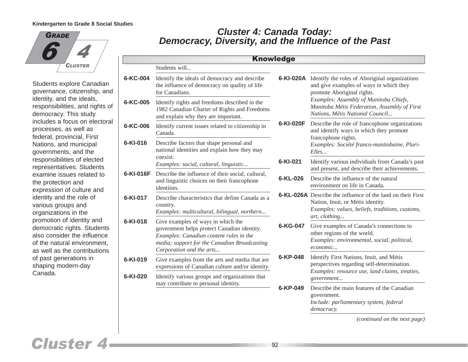

Students explore Canadian governance, citizenship, and identity, and the ideals, responsibilities, and rights of democracy. This study includes a focus on electoral processes, as well as federal, provincial, First Nations, and municipal governments, and the responsibilities of elected representatives. Students examine issues related to the protection and expression of culture and identity and the role of various groups and organizations in the promotion of identity and democratic rights. Students also consider the influence of the natural environment, as well as the contributions of past generations in shaping modern-day Canada.

### **Democracy, Diversity, and the Influence of the Past Cluster 4: Canada Today:**

|            |                                                                                                                                                                                                          | <b>Knowledge</b> |                                                                                                                                                                                                                                                                       |
|------------|----------------------------------------------------------------------------------------------------------------------------------------------------------------------------------------------------------|------------------|-----------------------------------------------------------------------------------------------------------------------------------------------------------------------------------------------------------------------------------------------------------------------|
|            | Students will                                                                                                                                                                                            |                  |                                                                                                                                                                                                                                                                       |
| 6-KC-004   | Identify the ideals of democracy and describe<br>the influence of democracy on quality of life<br>for Canadians.                                                                                         | 6-KI-020F        | <b>6-KI-020A</b> Identify the roles of Aboriginal organizations<br>and give examples of ways in which they<br>promote Aboriginal rights.<br>Examples: Assembly of Manitoba Chiefs,<br>Manitoba Métis Federation, Assembly of First<br>Nations, Métis National Council |
| 6-KC-005   | Identify rights and freedoms described in the<br>1982 Canadian Charter of Rights and Freedoms<br>and explain why they are important.                                                                     |                  |                                                                                                                                                                                                                                                                       |
| 6-KC-006   | Identify current issues related to citizenship in<br>Canada.                                                                                                                                             |                  | Describe the role of francophone organizations<br>and identify ways in which they promote                                                                                                                                                                             |
| 6-KI-016   | Describe factors that shape personal and<br>national identities and explain how they may<br>coexist.                                                                                                     |                  | francophone rights.<br>Examples: Société franco-manitobaine, Pluri-<br>Elles                                                                                                                                                                                          |
|            | Examples: social, cultural, linguistic                                                                                                                                                                   | 6-KI-021         | Identify various individuals from Canada's past<br>and present, and describe their achievements.                                                                                                                                                                      |
| 6-KI-016F  | Describe the influence of their social, cultural,<br>and linguistic choices on their francophone<br>identities.                                                                                          | 6-KL-026         | Describe the influence of the natural<br>environment on life in Canada.                                                                                                                                                                                               |
| 6-KI-017   | Describe characteristics that define Canada as a<br>country.<br>Examples: multicultural, bilingual, northern                                                                                             |                  | <b>6-KL-026A</b> Describe the influence of the land on their First<br>Nation, Inuit, or Métis identity.<br>Examples: values, beliefs, traditions, customs,<br>art, clothing                                                                                           |
| 6-KI-018   | Give examples of ways in which the<br>government helps protect Canadian identity.<br>Examples: Canadian content rules in the<br>media; support for the Canadian Broadcasting<br>Corporation and the arts | 6-KG-047         | Give examples of Canada's connections to<br>other regions of the world.<br>Examples: environmental, social, political,<br>economic                                                                                                                                    |
| $6-KI-019$ | Give examples from the arts and media that are<br>expressions of Canadian culture and/or identity.                                                                                                       | 6-KP-048         | Identify First Nations, Inuit, and Métis<br>perspectives regarding self-determination.                                                                                                                                                                                |
| 6-KI-020   | Identify various groups and organizations that<br>may contribute to personal identity.                                                                                                                   |                  | Examples: resource use, land claims, treaties,<br>government                                                                                                                                                                                                          |
|            |                                                                                                                                                                                                          | 6-KP-049         | Describe the main features of the Canadian<br>government.<br>Include: parliamentary system, federal<br>democracy.                                                                                                                                                     |

*(continued on the next page)*

# **Cluster 4**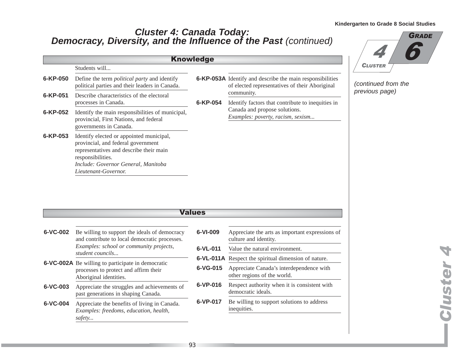### **Democracy, Diversity, and the Influence of the Past** (continued) **Cluster 4: Canada Today:**

|                |                                                                                                                                                                                                               | <b>Knowledge</b>                                                                                                                                                 |                                                   |
|----------------|---------------------------------------------------------------------------------------------------------------------------------------------------------------------------------------------------------------|------------------------------------------------------------------------------------------------------------------------------------------------------------------|---------------------------------------------------|
|                | Students will                                                                                                                                                                                                 |                                                                                                                                                                  |                                                   |
| 6-KP-050       | Define the term <i>political party</i> and identify<br>political parties and their leaders in Canada.                                                                                                         | <b>6-KP-053A</b> Identify and describe the main responsibilities<br>community.<br>6-KP-054<br>Canada and propose solutions.<br>Examples: poverty, racism, sexism | of elected representatives of their Aboriginal    |
| $6 - KP - 051$ | Describe characteristics of the electoral<br>processes in Canada.                                                                                                                                             |                                                                                                                                                                  | Identify factors that contribute to inequities in |
| 6-KP-052       | Identify the main responsibilities of municipal,<br>provincial, First Nations, and federal<br>governments in Canada.                                                                                          |                                                                                                                                                                  |                                                   |
| 6-KP-053       | Identify elected or appointed municipal,<br>provincial, and federal government<br>representatives and describe their main<br>responsibilities.<br>Include: Governor General, Manitoba<br>Lieutenant-Governor. |                                                                                                                                                                  |                                                   |



(continued from the previous page)

| <b>Values</b> |                                                                                                                             |            |                                                                          |  |
|---------------|-----------------------------------------------------------------------------------------------------------------------------|------------|--------------------------------------------------------------------------|--|
| 6-VC-002      | Be willing to support the ideals of democracy<br>and contribute to local democratic processes.                              | 6-VI-009   | Appreciate the arts as important expressions of<br>culture and identity. |  |
|               | Examples: school or community projects,<br>student councils                                                                 | $6-VL-011$ | Value the natural environment.                                           |  |
|               | <b>6-VC-002A</b> Be willing to participate in democratic<br>processes to protect and affirm their<br>Aboriginal identities. |            | <b>6-VL-011A</b> Respect the spiritual dimension of nature.              |  |
|               |                                                                                                                             | $6-VG-015$ | Appreciate Canada's interdependence with<br>other regions of the world.  |  |
| 6-VC-003      | Appreciate the struggles and achievements of<br>past generations in shaping Canada.                                         | 6-VP-016   | Respect authority when it is consistent with<br>democratic ideals.       |  |
| 6-VC-004      | Appreciate the benefits of living in Canada.<br>Examples: freedoms, education, health,<br>safety                            | 6-VP-017   | Be willing to support solutions to address<br>inequities.                |  |

**Cluster 4 Custer 4**